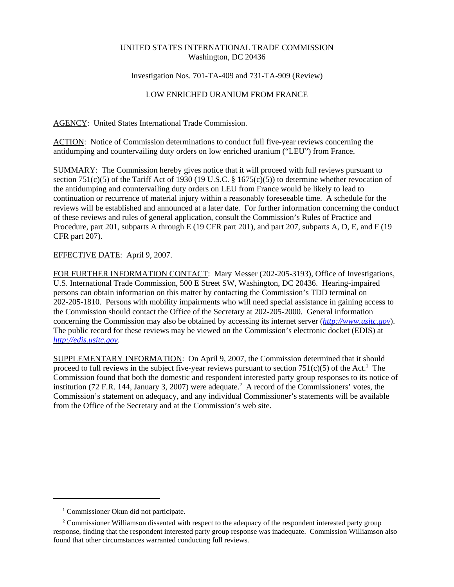## UNITED STATES INTERNATIONAL TRADE COMMISSION Washington, DC 20436

## Investigation Nos. 701-TA-409 and 731-TA-909 (Review)

## LOW ENRICHED URANIUM FROM FRANCE

AGENCY: United States International Trade Commission.

ACTION: Notice of Commission determinations to conduct full five-year reviews concerning the antidumping and countervailing duty orders on low enriched uranium ("LEU") from France.

SUMMARY: The Commission hereby gives notice that it will proceed with full reviews pursuant to section 751(c)(5) of the Tariff Act of 1930 (19 U.S.C. § 1675(c)(5)) to determine whether revocation of the antidumping and countervailing duty orders on LEU from France would be likely to lead to continuation or recurrence of material injury within a reasonably foreseeable time. A schedule for the reviews will be established and announced at a later date. For further information concerning the conduct of these reviews and rules of general application, consult the Commission's Rules of Practice and Procedure, part 201, subparts A through E (19 CFR part 201), and part 207, subparts A, D, E, and F (19 CFR part 207).

## EFFECTIVE DATE: April 9, 2007.

FOR FURTHER INFORMATION CONTACT: Mary Messer (202-205-3193), Office of Investigations, U.S. International Trade Commission, 500 E Street SW, Washington, DC 20436. Hearing-impaired persons can obtain information on this matter by contacting the Commission's TDD terminal on 202-205-1810. Persons with mobility impairments who will need special assistance in gaining access to the Commission should contact the Office of the Secretary at 202-205-2000. General information concerning the Commission may also be obtained by accessing its internet server (*http://www.usitc.gov*). The public record for these reviews may be viewed on the Commission's electronic docket (EDIS) at *http://edis.usitc.gov*.

SUPPLEMENTARY INFORMATION: On April 9, 2007, the Commission determined that it should proceed to full reviews in the subject five-year reviews pursuant to section  $751(c)(5)$  of the Act.<sup>1</sup> The Commission found that both the domestic and respondent interested party group responses to its notice of institution (72 F.R. 144, January 3, 2007) were adequate.<sup>2</sup> A record of the Commissioners' votes, the Commission's statement on adequacy, and any individual Commissioner's statements will be available from the Office of the Secretary and at the Commission's web site.

<sup>&</sup>lt;sup>1</sup> Commissioner Okun did not participate.

<sup>&</sup>lt;sup>2</sup> Commissioner Williamson dissented with respect to the adequacy of the respondent interested party group response, finding that the respondent interested party group response was inadequate. Commission Williamson also found that other circumstances warranted conducting full reviews.